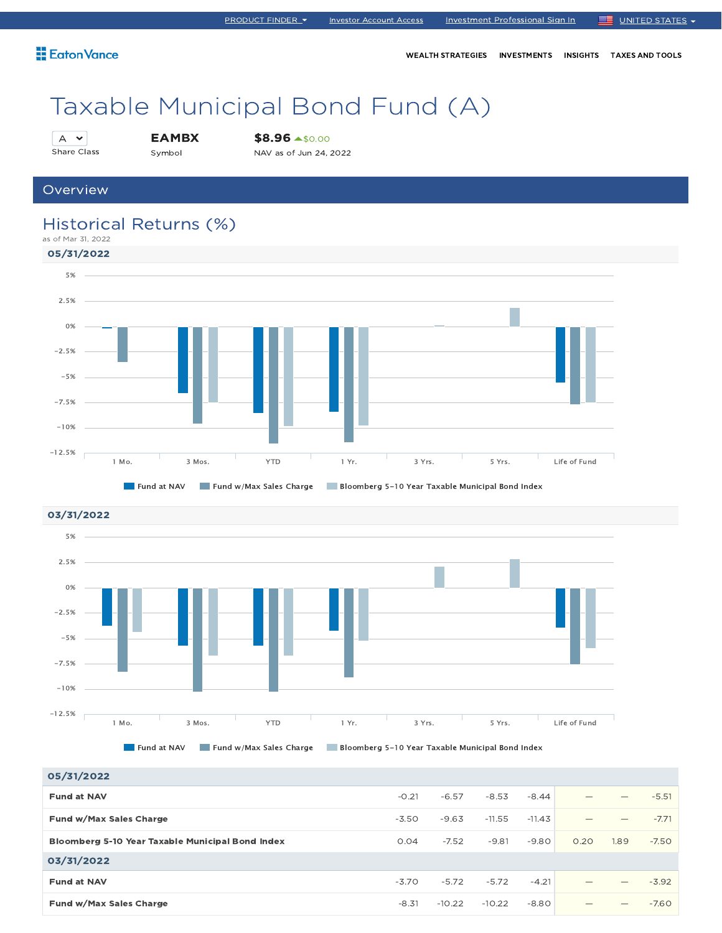WEALTH STRATEGIES INVESTMENTS INSIGHTS TAXES AND TOOLS

# Taxable Municipal Bond Fund (A)

```
A \timesShare Class
```
EAMBX Symbol

\$8.96 \$0.00

NAV as of Jun 24, 2022

### **Overview**

### Historical Returns (%)





05/31/2022 **Fund at NAV**  $-0.21$   $-6.57$   $-8.53$   $-8.44$   $-5.51$ **Fund w/Max Sales Charge 2020 -3.50 -3.50 -4.63 -11.55 -11.43** - -11.43 — - -7.71 Bloomberg 5-10 Year Taxable Municipal Bond Index 0.04 -7.52 -9.81 -9.80 0.20 1.89 -7.50 03/31/2022 **Fund at NAV**  $-3.70$   $-5.72$   $-5.72$   $-4.21$   $-3.92$ **Fund w/Max Sales Charge**  $-8.31 -10.22 -10.22 -8.80$  $-6.80$  $-7.60$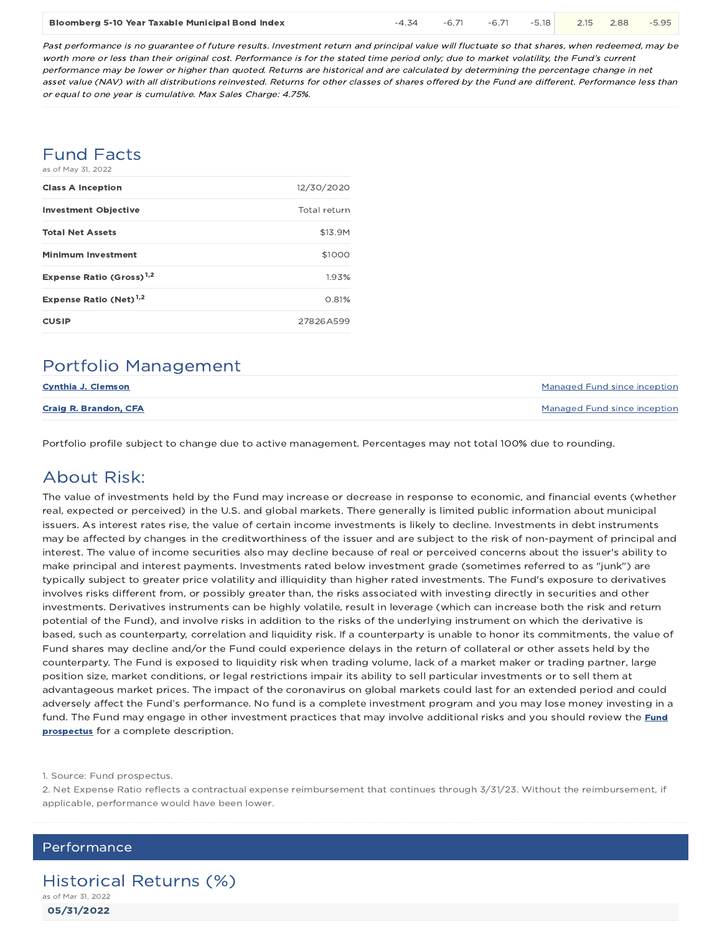| Bloomberg 5-10 Year Taxable Municipal Bond Index |  |  |  | $-4.34$ $-6.71$ $-6.71$ $-5.18$ 2.15 2.88 $-5.95$ |  |  |  |
|--------------------------------------------------|--|--|--|---------------------------------------------------|--|--|--|
|--------------------------------------------------|--|--|--|---------------------------------------------------|--|--|--|

Past performance is no guarantee of future results. Investment return and principal value will fluctuate so that shares, when redeemed, may be worth more or less than their original cost. Performance is for the stated time period only; due to market volatility, the Fund's current performance may be lower or higher than quoted. Returns are historical and are calculated by determining the percentage change in net asset value (NAV) with all distributions reinvested. Returns for other classes of shares offered by the Fund are different. Performance less than or equal to one year is cumulative. Max Sales Charge: 4.75%.

### Fund Facts as of May 31, 2022

| <b>Class A Inception</b>             | 12/30/2020   |
|--------------------------------------|--------------|
| <b>Investment Objective</b>          | Total return |
| <b>Total Net Assets</b>              | \$13.9M      |
| <b>Minimum Investment</b>            | \$1000       |
| Expense Ratio (Gross) <sup>1,2</sup> | 1.93%        |
| Expense Ratio (Net) $1,2$            | 0.81%        |
| <b>CUSIP</b>                         | 27826A599    |

### Portfolio Management

| <b>Cynthia J. Clemson</b>    | Managed Fund since inception |
|------------------------------|------------------------------|
| <b>Craig R. Brandon, CFA</b> | Managed Fund since inception |

Portfolio profile subject to change due to active management. Percentages may not total 100% due to rounding.

### About Risk:

The value of investments held by the Fund may increase or decrease in response to economic, and financial events (whether real, expected or perceived) in the U.S. and global markets. There generally is limited public information about municipal issuers. As interest rates rise, the value of certain income investments is likely to decline. Investments in debt instruments may be affected by changes in the creditworthiness of the issuer and are subject to the risk of non-payment of principal and interest. The value of income securities also may decline because of real or perceived concerns about the issuer's ability to make principal and interest payments. Investments rated below investment grade (sometimes referred to as "junk") are typically subject to greater price volatility and illiquidity than higher rated investments. The Fund's exposure to derivatives involves risks different from, or possibly greater than, the risks associated with investing directly in securities and other investments. Derivatives instruments can be highly volatile, result in leverage (which can increase both the risk and return potential of the Fund), and involve risks in addition to the risks of the underlying instrument on which the derivative is based, such as counterparty, correlation and liquidity risk. If a counterparty is unable to honor its commitments, the value of Fund shares may decline and/or the Fund could experience delays in the return of collateral or other assets held by the counterparty. The Fund is exposed to liquidity risk when trading volume, lack of a market maker or trading partner, large position size, market conditions, or legal restrictions impair its ability to sell particular investments or to sell them at advantageous market prices. The impact of the coronavirus on global markets could last for an extended period and could adversely affect the Fund's performance. No fund is a complete investment program and you may lose money investing in a fund. The Fund may engage in other investment practices that may involve additional risks and you should review the Fund prospectus for a complete description.

1. Source: Fund prospectus.

2. Net Expense Ratio reflects a contractual expense reimbursement that continues through 3/31/23. Without the reimbursement, if applicable, performance would have been lower.

### Performance

05/31/2022 Historical Returns (%) as of Mar 31, 2022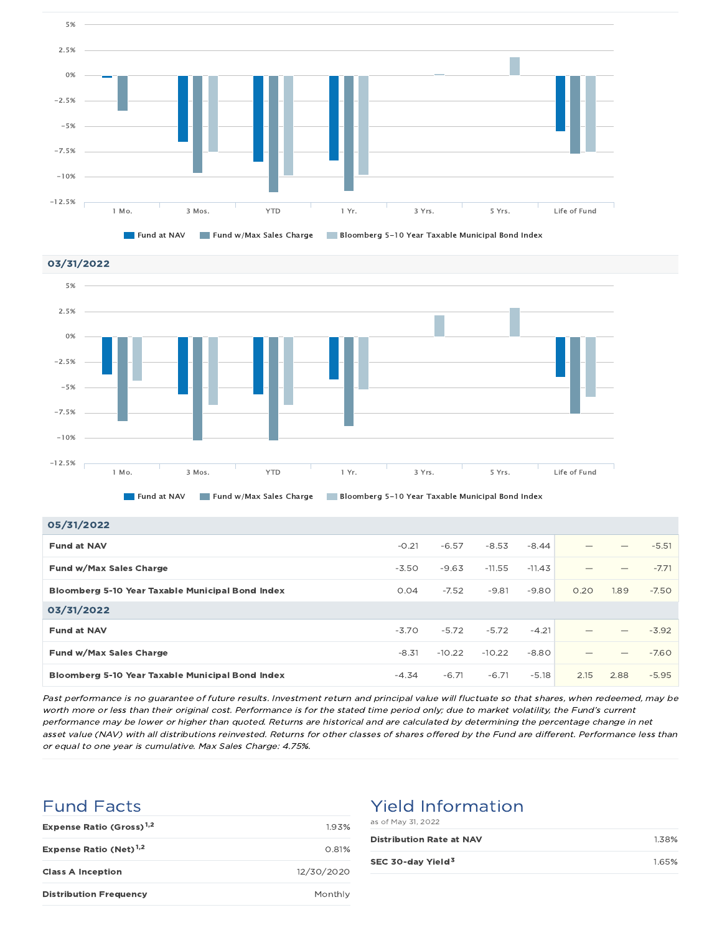





| 05/31/2022                                              |         |          |          |          |      |      |         |
|---------------------------------------------------------|---------|----------|----------|----------|------|------|---------|
| <b>Fund at NAV</b>                                      | $-0.21$ | $-6.57$  | $-8.53$  | $-8.44$  |      |      | $-5.51$ |
| Fund w/Max Sales Charge                                 | $-3.50$ | $-9.63$  | $-11.55$ | $-11.43$ |      |      | $-7.71$ |
| Bloomberg 5-10 Year Taxable Municipal Bond Index        | 0.04    | $-7.52$  | $-9.81$  | $-9.80$  | 0.20 | 1.89 | $-7.50$ |
| 03/31/2022                                              |         |          |          |          |      |      |         |
| <b>Fund at NAV</b>                                      | $-3.70$ | $-5.72$  | $-5.72$  | $-4.21$  |      |      | $-3.92$ |
| Fund w/Max Sales Charge                                 | $-8.31$ | $-10.22$ | $-10.22$ | $-8.80$  |      | –    | $-7.60$ |
| <b>Bloomberg 5-10 Year Taxable Municipal Bond Index</b> | $-4.34$ | $-6.71$  | $-6.71$  | $-5.18$  | 2.15 | 2.88 | $-5.95$ |

Past performance is no guarantee of future results. Investment return and principal value will fluctuate so that shares, when redeemed, may be worth more or less than their original cost. Performance is for the stated time period only; due to market volatility, the Fund's current performance may be lower or higher than quoted. Returns are historical and are calculated by determining the percentage change in net asset value (NAV) with all distributions reinvested. Returns for other classes of shares offered by the Fund are different. Performance less than or equal to one year is cumulative. Max Sales Charge: 4.75%.

### Fund Facts

| Expense Ratio (Gross) <sup>1,2</sup> | 193%       |
|--------------------------------------|------------|
| Expense Ratio (Net) <sup>1,2</sup>   | 0.81%      |
| <b>Class A Inception</b>             | 12/30/2020 |
| <b>Distribution Frequency</b>        | Monthly    |

### Yield Information

|  |  |  | as of May 31, 2022 |  |
|--|--|--|--------------------|--|
|--|--|--|--------------------|--|

| <b>Distribution Rate at NAV</b> | 1.38% |
|---------------------------------|-------|
| SEC 30-day Yield <sup>3</sup>   | 1.65% |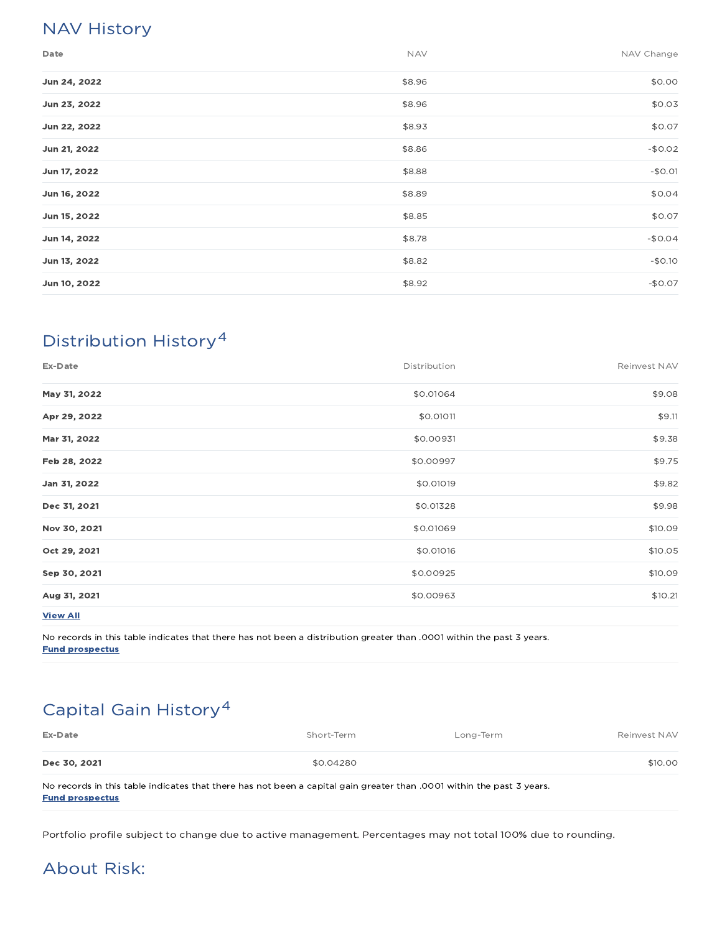### NAV History

| Date         | <b>NAV</b> | NAV Change |
|--------------|------------|------------|
| Jun 24, 2022 | \$8.96     | \$0.00     |
| Jun 23, 2022 | \$8.96     | \$0.03     |
| Jun 22, 2022 | \$8.93     | \$0.07     |
| Jun 21, 2022 | \$8.86     | $-$0.02$   |
| Jun 17, 2022 | \$8.88     | $-$0.01$   |
| Jun 16, 2022 | \$8.89     | \$0.04     |
| Jun 15, 2022 | \$8.85     | \$0.07     |
| Jun 14, 2022 | \$8.78     | $-$0.04$   |
| Jun 13, 2022 | \$8.82     | $-$0.10$   |
| Jun 10, 2022 | \$8.92     | $-$0.07$   |

### Distribution History 4

| Ex-Date         | Distribution | Reinvest NAV |
|-----------------|--------------|--------------|
| May 31, 2022    | \$0.01064    | \$9.08       |
| Apr 29, 2022    | \$0.01011    | \$9.11       |
| Mar 31, 2022    | \$0.00931    | \$9.38       |
| Feb 28, 2022    | \$0.00997    | \$9.75       |
| Jan 31, 2022    | \$0.01019    | \$9.82       |
| Dec 31, 2021    | \$0.01328    | \$9.98       |
| Nov 30, 2021    | \$0.01069    | \$10.09      |
| Oct 29, 2021    | \$0.01016    | \$10.05      |
| Sep 30, 2021    | \$0.00925    | \$10.09      |
| Aug 31, 2021    | \$0.00963    | \$10.21      |
| <b>View All</b> |              |              |

No records in this table indicates that there has not been a distribution greater than .0001 within the past 3 years. Fund prospectus

## Capital Gain History 4

| Ex-Date      | Short-Term                                                                                                           | Long-Term | Reinvest NAV |
|--------------|----------------------------------------------------------------------------------------------------------------------|-----------|--------------|
| Dec 30, 2021 | \$0.04280                                                                                                            |           | \$10.00      |
|              | No records in this table indicates that there has not been a capital gain greater than 0001 within the past 3 years. |           |              |

apital gain greater than .0001 within the past 3 ye Fund prospectus

Portfolio profile subject to change due to active management. Percentages may not total 100% due to rounding.

### About Risk: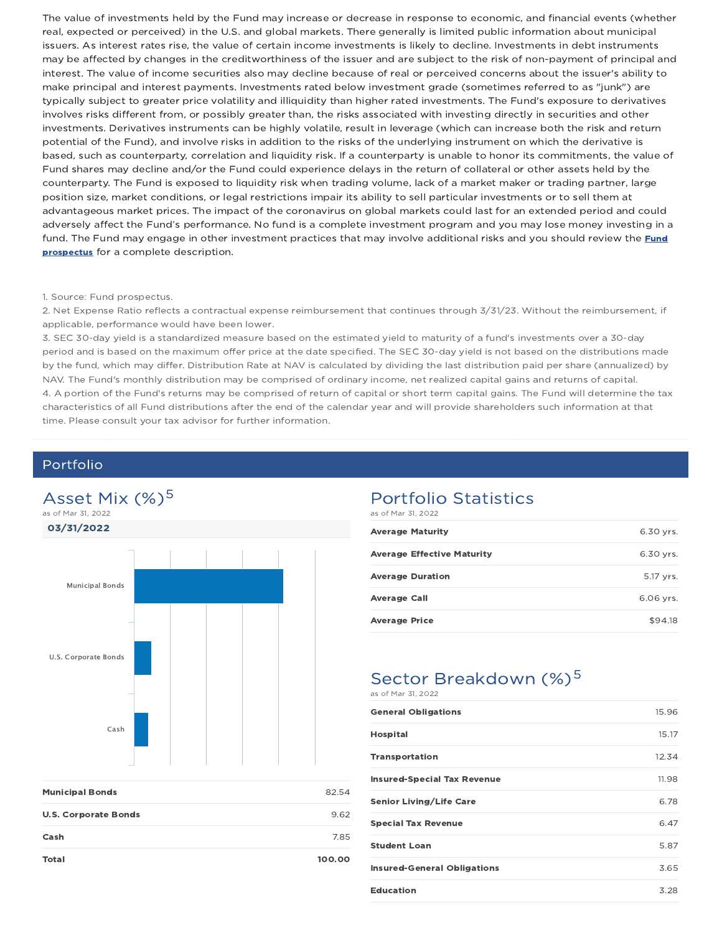The value of investments held by the Fund may increase or decrease in response to economic, and financial events (whether real, expected or perceived) in the U.S. and global markets. There generally is limited public information about municipal issuers. As interest rates rise, the value of certain income investments is likely to decline. Investments in debt instruments may be affected by changes in the creditworthiness of the issuer and are subject to the risk of non-payment of principal and interest. The value of income securities also may decline because of real or perceived concerns about the issuer's ability to make principal and interest payments. Investments rated below investment grade (sometimes referred to as "junk") are typically subject to greater price volatility and illiquidity than higher rated investments. The Fund's exposure to derivatives involves risks different from, or possibly greater than, the risks associated with investing directly in securities and other investments. Derivatives instruments can be highly volatile, result in leverage (which can increase both the risk and return potential of the Fund), and involve risks in addition to the risks of the underlying instrument on which the derivative is based, such as counterparty, correlation and liquidity risk. If a counterparty is unable to honor its commitments, the value of Fund shares may decline and/or the Fund could experience delays in the return of collateral or other assets held by the counterparty. The Fund is exposed to liquidity risk when trading volume, lack of a market maker or trading partner, large position size, market conditions, or legal restrictions impair its ability to sell particular investments or to sell them at advantageous market prices. The impact of the coronavirus on global markets could last for an extended period and could adversely affect the Fund's performance. No fund is a complete investment program and you may lose money investing in a fund. The Fund may engage in other investment practices that may involve additional risks and you should review the Fund prospectus for a complete description.

#### 1. Source: Fund prospectus.

2. Net Expense Ratio reflects a contractual expense reimbursement that continues through 3/31/23. Without the reimbursement, if applicable, performance would have been lower.

3. SEC 30-day yield is a standardized measure based on the estimated yield to maturity of a fund's investments over a 30-day period and is based on the maximum offer price at the date specified. The SEC 30-day yield is not based on the distributions made by the fund, which may differ. Distribution Rate at NAV is calculated by dividing the last distribution paid per share (annualized) by NAV. The Fund's monthly distribution may be comprised of ordinary income, net realized capital gains and returns of capital. 4. A portion of the Fund's returns may be comprised of return of capital or short term capital gains. The Fund will determine the tax characteristics of all Fund distributions after the end of the calendar year and will provide shareholders such information at that time. Please consult your tax advisor for further information.

### Portfolio



| <b>Municipal Bonds</b>      | 82.54  |
|-----------------------------|--------|
| <b>U.S. Corporate Bonds</b> | 9.62   |
| Cash                        | 7.85   |
| <b>Total</b>                | 100.00 |

### Portfolio Statistics

as of Mar 31, 2022

| <b>Average Maturity</b>           | 6.30 yrs. |
|-----------------------------------|-----------|
| <b>Average Effective Maturity</b> | 6.30 yrs. |
| <b>Average Duration</b>           | 5.17 yrs. |
| <b>Average Call</b>               | 6.06 vrs. |
| <b>Average Price</b>              | \$94.18   |

### Sector Breakdown (%)<sup>5</sup> as of Mar 31, 2022

| <b>General Obligations</b>         | 15.96 |
|------------------------------------|-------|
| <b>Hospital</b>                    | 15.17 |
| <b>Transportation</b>              | 12.34 |
| <b>Insured-Special Tax Revenue</b> | 11.98 |
| <b>Senior Living/Life Care</b>     | 6.78  |
| <b>Special Tax Revenue</b>         | 6.47  |
| <b>Student Loan</b>                | 5.87  |
| <b>Insured-General Obligations</b> | 3.65  |
| <b>Education</b>                   | 3.28  |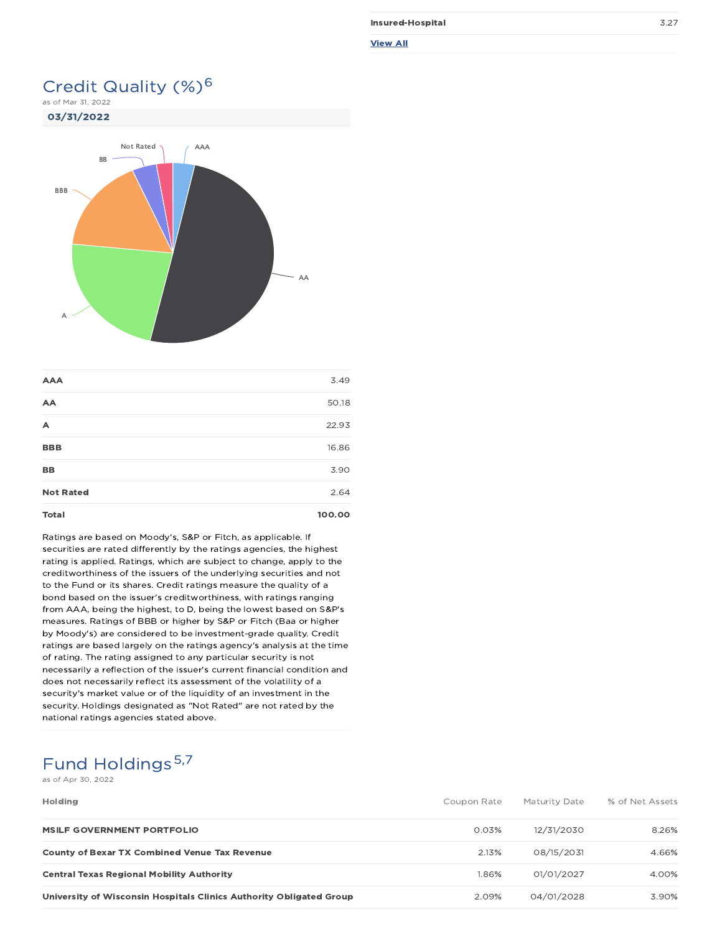| Insured-Hospital | 3.27 |
|------------------|------|
| <b>View All</b>  |      |

### Credit Quality (%)<sup>6</sup>

as of Mar 31, 2022



| <b>AAA</b>       | 3.49   |
|------------------|--------|
| AA               | 50.18  |
| A                | 22.93  |
| <b>BBB</b>       | 16.86  |
| <b>BB</b>        | 3.90   |
| <b>Not Rated</b> | 2.64   |
| <b>Total</b>     | 100.00 |

Ratings are based on Moody's, S&P or Fitch, as applicable. If securities are rated differently by the ratings agencies, the highest rating is applied. Ratings, which are subject to change, apply to the creditworthiness of the issuers of the underlying securities and not to the Fund or its shares. Credit ratings measure the quality of a bond based on the issuer's creditworthiness, with ratings ranging from AAA, being the highest, to D, being the lowest based on S&P's measures. Ratings of BBB or higher by S&P or Fitch (Baa or higher by Moody's) are considered to be investment-grade quality. Credit ratings are based largely on the ratings agency's analysis at the time of rating. The rating assigned to any particular security is not necessarily a reflection of the issuer's current financial condition and does not necessarily reflect its assessment of the volatility of a security's market value or of the liquidity of an investment in the security. Holdings designated as "Not Rated" are not rated by the national ratings agencies stated above.

### Fund Holdings 5,7

as of Apr 30, 2022

| <b>Holding</b>                                                      | Coupon Rate | Maturity Date | % of Net Assets |
|---------------------------------------------------------------------|-------------|---------------|-----------------|
| MSILF GOVERNMENT PORTFOLIO                                          | 0.03%       | 12/31/2030    | 8.26%           |
| <b>County of Bexar TX Combined Venue Tax Revenue</b>                | 2.13%       | 08/15/2031    | 4.66%           |
| <b>Central Texas Regional Mobility Authority</b>                    | 1.86%       | 01/01/2027    | 4.00%           |
| University of Wisconsin Hospitals Clinics Authority Obligated Group | 2.09%       | 04/01/2028    | 3.90%           |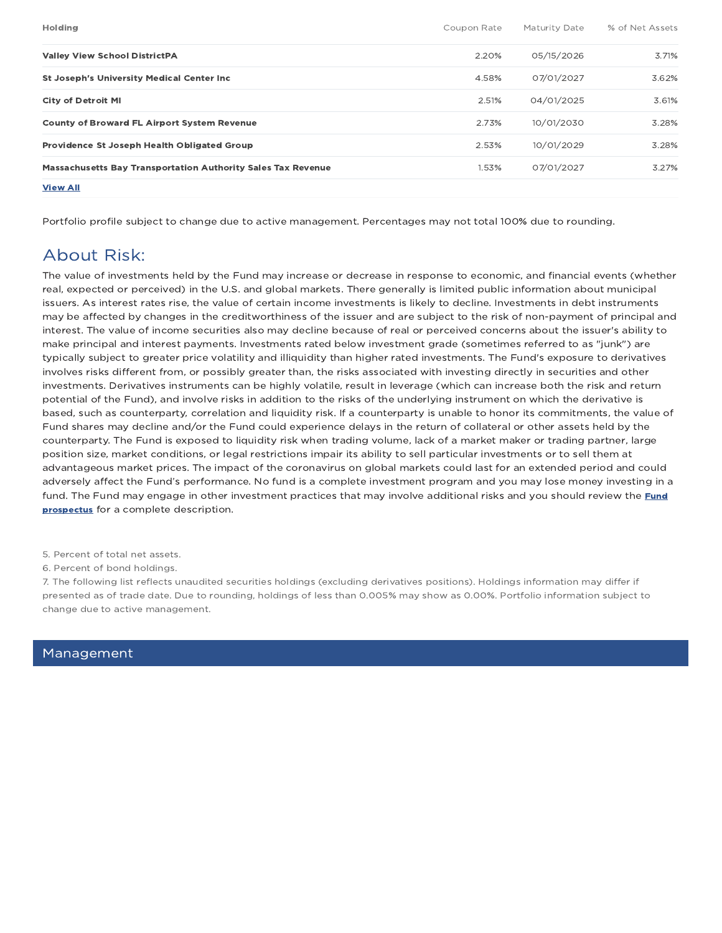| <b>Holding</b>                                                      | Coupon Rate | Maturity Date | % of Net Assets |
|---------------------------------------------------------------------|-------------|---------------|-----------------|
| <b>Valley View School DistrictPA</b>                                | 2.20%       | 05/15/2026    | 3.71%           |
| <b>St Joseph's University Medical Center Inc.</b>                   | 4.58%       | 07/01/2027    | 3.62%           |
| <b>City of Detroit MI</b>                                           | 2.51%       | 04/01/2025    | 3.61%           |
| <b>County of Broward FL Airport System Revenue</b>                  | 2.73%       | 10/01/2030    | 3.28%           |
| Providence St Joseph Health Obligated Group                         | 2.53%       | 10/01/2029    | 3.28%           |
| <b>Massachusetts Bay Transportation Authority Sales Tax Revenue</b> | 1.53%       | 07/01/2027    | 3.27%           |
| <b>View All</b>                                                     |             |               |                 |

Portfolio profile subject to change due to active management. Percentages may not total 100% due to rounding.

### About Risk:

The value of investments held by the Fund may increase or decrease in response to economic, and financial events (whether real, expected or perceived) in the U.S. and global markets. There generally is limited public information about municipal issuers. As interest rates rise, the value of certain income investments is likely to decline. Investments in debt instruments may be affected by changes in the creditworthiness of the issuer and are subject to the risk of non-payment of principal and interest. The value of income securities also may decline because of real or perceived concerns about the issuer's ability to make principal and interest payments. Investments rated below investment grade (sometimes referred to as "junk") are typically subject to greater price volatility and illiquidity than higher rated investments. The Fund's exposure to derivatives involves risks different from, or possibly greater than, the risks associated with investing directly in securities and other investments. Derivatives instruments can be highly volatile, result in leverage (which can increase both the risk and return potential of the Fund), and involve risks in addition to the risks of the underlying instrument on which the derivative is based, such as counterparty, correlation and liquidity risk. If a counterparty is unable to honor its commitments, the value of Fund shares may decline and/or the Fund could experience delays in the return of collateral or other assets held by the counterparty. The Fund is exposed to liquidity risk when trading volume, lack of a market maker or trading partner, large position size, market conditions, or legal restrictions impair its ability to sell particular investments or to sell them at advantageous market prices. The impact of the coronavirus on global markets could last for an extended period and could adversely affect the Fund's performance. No fund is a complete investment program and you may lose money investing in a fund. The Fund may engage in other investment practices that may involve additional risks and you should review the Fund prospectus for a complete description.

- 5. Percent of total net assets.
- 6. Percent of bond holdings.

7. The following list reflects unaudited securities holdings (excluding derivatives positions). Holdings information may differ if presented as of trade date. Due to rounding, holdings of less than 0.005% may show as 0.00%. Portfolio information subject to change due to active management.

### Management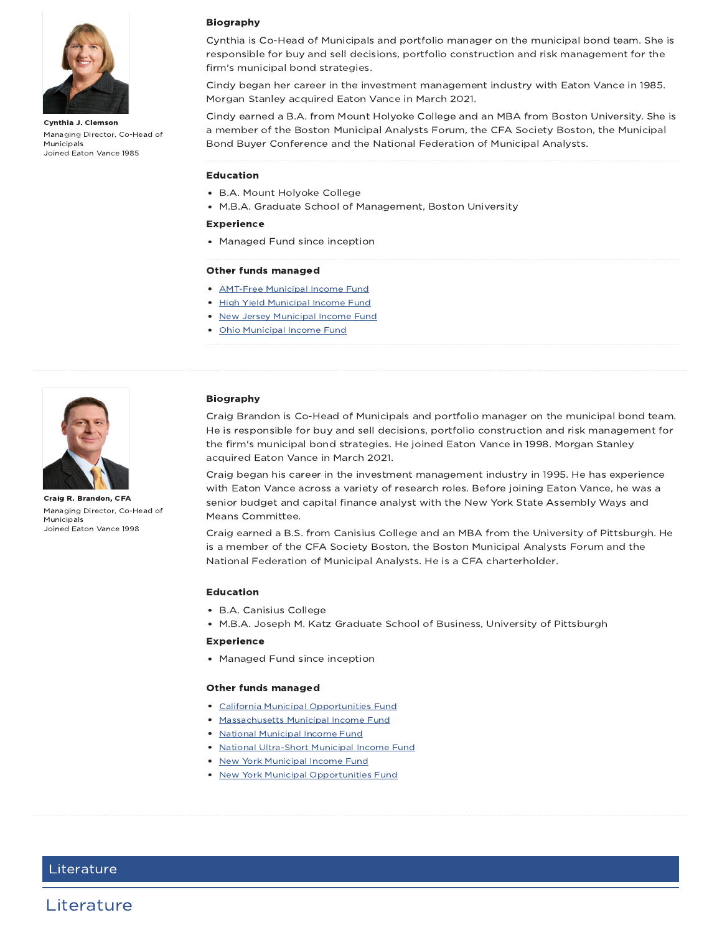

Cynthia J. Clemson Managing Director, Co-Head of Municipals Joined Eaton Vance 1985



Cynthia is Co-Head of Municipals and portfolio manager on the municipal bond team. She is responsible for buy and sell decisions, portfolio construction and risk management for the firm's municipal bond strategies.

Cindy began her career in the investment management industry with Eaton Vance in 1985. Morgan Stanley acquired Eaton Vance in March 2021.

Cindy earned a B.A. from Mount Holyoke College and an MBA from Boston University. She is a member of the Boston Municipal Analysts Forum, the CFA Society Boston, the Municipal Bond Buyer Conference and the National Federation of Municipal Analysts.

#### Education

- B.A. Mount Holyoke College
- M.B.A. Graduate School of Management, Boston University

#### Experience

Managed Fund since inception

#### Other funds managed

- **AMT-Free Municipal Income Fund**
- High Yield Municipal Income Fund
- **New Jersey Municipal Income Fund**
- Ohio Municipal Income Fund



Craig R. Brandon, CFA Managing Director, Co-Head of Municipals Joined Eaton Vance 1998

#### Biography

Craig Brandon is Co-Head of Municipals and portfolio manager on the municipal bond team. He is responsible for buy and sell decisions, portfolio construction and risk management for the firm's municipal bond strategies. He joined Eaton Vance in 1998. Morgan Stanley acquired Eaton Vance in March 2021.

Craig began his career in the investment management industry in 1995. He has experience with Eaton Vance across a variety of research roles. Before joining Eaton Vance, he was a senior budget and capital finance analyst with the New York State Assembly Ways and Means Committee.

Craig earned a B.S. from Canisius College and an MBA from the University of Pittsburgh. He is a member of the CFA Society Boston, the Boston Municipal Analysts Forum and the National Federation of Municipal Analysts. He is a CFA charterholder.

#### Education

- B.A. Canisius College
- M.B.A. Joseph M. Katz Graduate School of Business, University of Pittsburgh

#### **Experience**

• Managed Fund since inception

#### Other funds managed

- California Municipal Opportunities Fund
- Massachusetts Municipal Income Fund
- **National Municipal Income Fund**
- National Ultra-Short Municipal Income Fund
- New York Municipal Income Fund
- New York Municipal Opportunities Fund

### Literature

Literature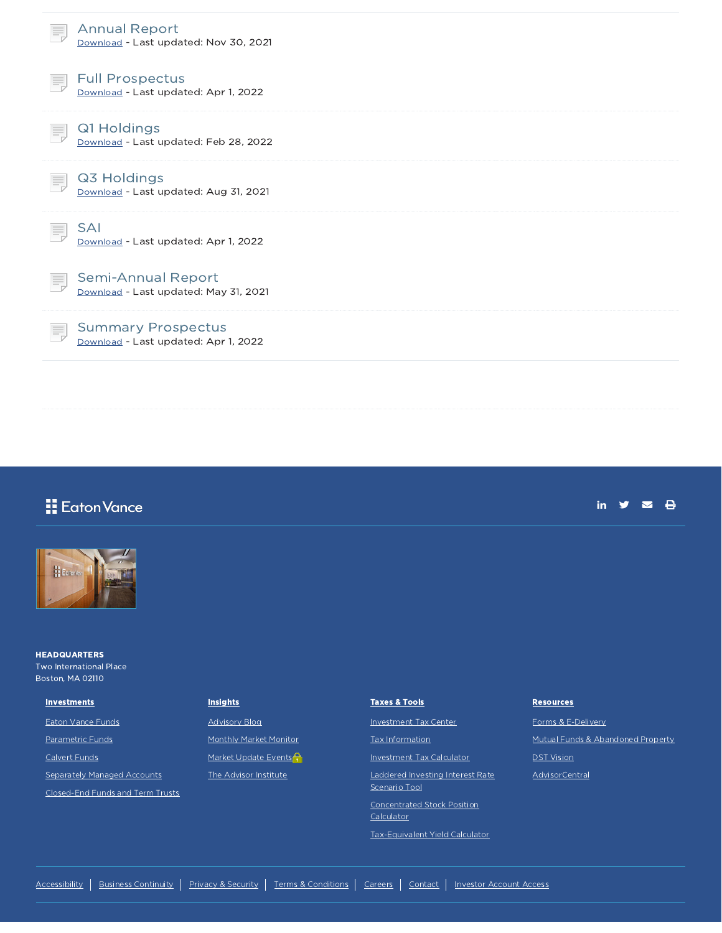| <b>Annual Report</b><br>Download - Last updated: Nov 30, 2021      |  |
|--------------------------------------------------------------------|--|
| <b>Full Prospectus</b><br>Download - Last updated: Apr 1, 2022     |  |
| Q1 Holdings<br>Download - Last updated: Feb 28, 2022               |  |
| Q3 Holdings<br>Download - Last updated: Aug 31, 2021               |  |
| <b>SAI</b><br>Download - Last updated: Apr 1, 2022                 |  |
| <b>Semi-Annual Report</b><br>Download - Last updated: May 31, 2021 |  |
| <b>Summary Prospectus</b><br>Download - Last updated: Apr 1, 2022  |  |
|                                                                    |  |

### **Eaton Vance**

in  $y = \theta$ 



**HEADQUARTERS** Two International Place Boston, MA 02110

#### **Investments**

Eaton Vance Funds

Parametric Funds

Calvert Funds

Separately Managed Accounts Closed-End Funds and Term Trusts

#### **Insights**

Advisory Blog Monthly Market Monitor

Market Update Events<sup>2</sup>

The Advisor Institute

#### Taxes & Tools

Investment Tax Center

Tax Information

Investment Tax Calculator

Laddered Investing Interest Rate Scenario Tool

Concentrated Stock Position Calculator

Tax-Equivalent Yield Calculator

#### **Resources**

Forms & E-Delivery

Mutual Funds & Abandoned Property

**DST** Vision

**AdvisorCentral**